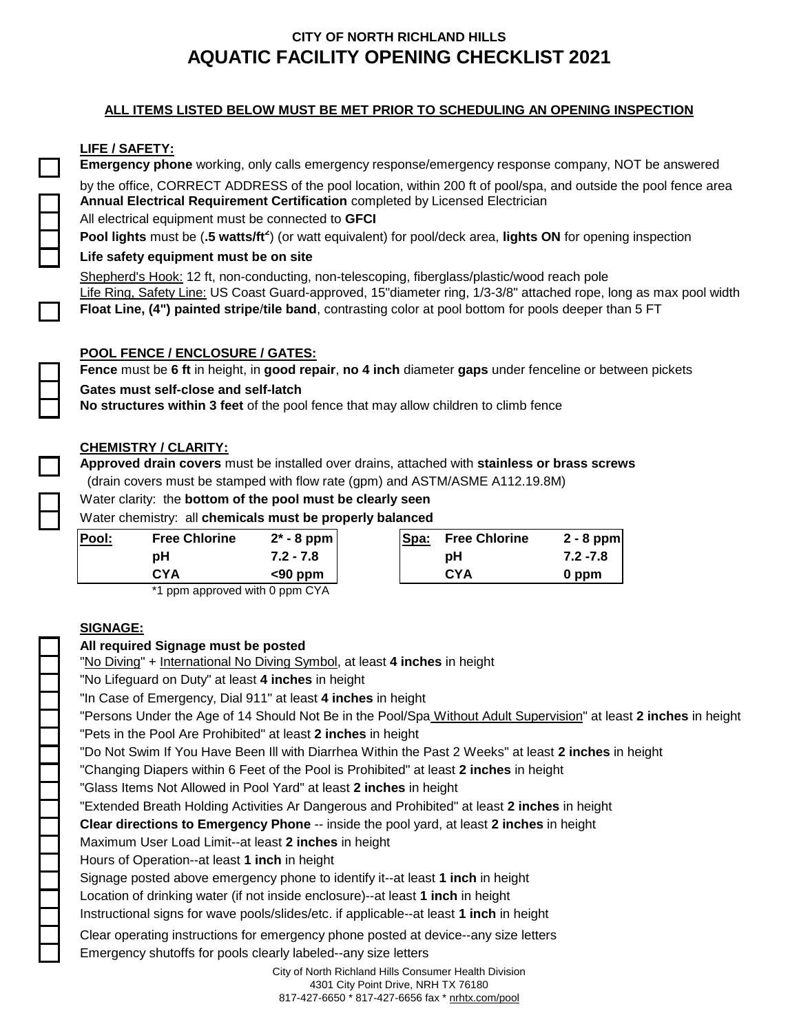## **ALL ITEMS LISTED BELOW MUST BE MET PRIOR TO SCHEDULING AN OPENING INSPECTION**

## **LIFE / SAFETY:**

**Emergency phone** working, only calls emergency response/emergency response company, NOT be answered by the office, CORRECT ADDRESS of the pool location, within 200 ft of pool/spa, and outside the pool fence area **Annual Electrical Requirement Certification** completed by Licensed Electrician All electrical equipment must be connected to **GFCI Pool lights** must be (**.5 watts/ft<sup>2</sup>** ) (or watt equivalent) for pool/deck area, **lights ON** for opening inspection

### **Life safety equipment must be on site**

Shepherd's Hook: 12 ft, non-conducting, non-telescoping, fiberglass/plastic/wood reach pole Life Ring, Safety Line: US Coast Guard-approved, 15"diameter ring, 1/3-3/8" attached rope, long as max pool width **Float Line, (4") painted stripe**/**tile band**, contrasting color at pool bottom for pools deeper than 5 FT

## **POOL FENCE / ENCLOSURE / GATES:**

**Fence** must be **6 ft** in height, in **good repair**, **no 4 inch** diameter **gaps** under fenceline or between pickets

#### **Gates must self-close and self-latch**

**No structures within 3 feet** of the pool fence that may allow children to climb fence

## **CHEMISTRY / CLARITY:**

**Approved drain covers** must be installed over drains, attached with **stainless or brass screws** (drain covers must be stamped with flow rate (gpm) and ASTM/ASME A112.19.8M)

#### Water clarity: the **bottom of the pool must be clearly seen**

Water chemistry: all **chemicals must be properly balanced** 

| <u>Pool:</u> | <b>Free Chlorine</b> | $2^*$ - 8 ppm | Spa: | <b>Free Chlorine</b> | $2 - 8$ ppm |
|--------------|----------------------|---------------|------|----------------------|-------------|
|              | pН                   | $7.2 - 7.8$   |      | рH                   | $7.2 - 7.8$ |
|              | <b>CYA</b>           | $<$ 90 ppm    |      | CYA                  | 0 ppm       |
|              | $\sim$               | .<br>----     |      |                      |             |

\*1 ppm approved with 0 ppm CYA

## **SIGNAGE:**

## **All required Signage must be posted**

"No Diving" + International No Diving Symbol, at least **4 inches** in height

"No Lifeguard on Duty" at least **4 inches** in height

"In Case of Emergency, Dial 911" at least **4 inches** in height

"Persons Under the Age of 14 Should Not Be in the Pool/Spa Without Adult Supervision" at least **2 inches** in height "Pets in the Pool Are Prohibited" at least **2 inches** in height

"Do Not Swim If You Have Been Ill with Diarrhea Within the Past 2 Weeks" at least **2 inches** in height

"Changing Diapers within 6 Feet of the Pool is Prohibited" at least **2 inches** in height

"Glass Items Not Allowed in Pool Yard" at least **2 inches** in height

"Extended Breath Holding Activities Ar Dangerous and Prohibited" at least **2 inches** in height

**Clear directions to Emergency Phone** -- inside the pool yard, at least **2 inches** in height

Maximum User Load Limit--at least **2 inches** in height

Hours of Operation--at least **1 inch** in height

Signage posted above emergency phone to identify it--at least **1 inch** in height

Location of drinking water (if not inside enclosure)--at least **1 inch** in height

Instructional signs for wave pools/slides/etc. if applicable--at least **1 inch** in height

Clear operating instructions for emergency phone posted at device--any size letters

Emergency shutoffs for pools clearly labeled--any size letters

City of North Richland Hills Consumer Health Division 4301 City Point Drive, NRH TX 76180 817-427-6650 \* 817-427-6656 fax \* nrhtx.com/pool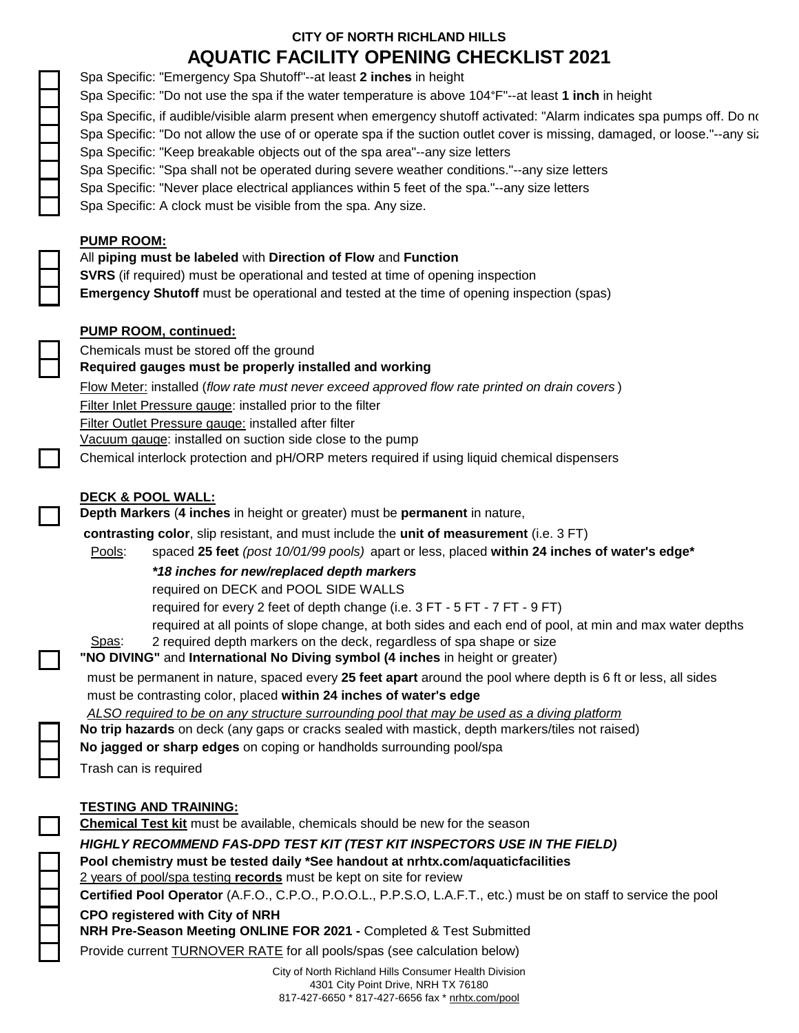|                          | AWUATIV LAUILITT UL LININU UHLUNLIUT ZUZT                                                                                  |
|--------------------------|----------------------------------------------------------------------------------------------------------------------------|
|                          | Spa Specific: "Emergency Spa Shutoff"--at least 2 inches in height                                                         |
|                          | Spa Specific: "Do not use the spa if the water temperature is above 104°F"--at least 1 inch in height                      |
|                          | Spa Specific, if audible/visible alarm present when emergency shutoff activated: "Alarm indicates spa pumps off. Do no     |
|                          | Spa Specific: "Do not allow the use of or operate spa if the suction outlet cover is missing, damaged, or loose."--any siz |
|                          | Spa Specific: "Keep breakable objects out of the spa area"--any size letters                                               |
|                          | Spa Specific: "Spa shall not be operated during severe weather conditions."--any size letters                              |
|                          | Spa Specific: "Never place electrical appliances within 5 feet of the spa."--any size letters                              |
| $\Box$                   | Spa Specific: A clock must be visible from the spa. Any size.                                                              |
|                          | <b>PUMP ROOM:</b>                                                                                                          |
|                          | All piping must be labeled with Direction of Flow and Function                                                             |
|                          | <b>SVRS</b> (if required) must be operational and tested at time of opening inspection                                     |
|                          | Emergency Shutoff must be operational and tested at the time of opening inspection (spas)                                  |
|                          | <b>PUMP ROOM, continued:</b>                                                                                               |
|                          | Chemicals must be stored off the ground                                                                                    |
| $\overline{\phantom{0}}$ | Required gauges must be properly installed and working                                                                     |
|                          |                                                                                                                            |
|                          | Flow Meter: installed (flow rate must never exceed approved flow rate printed on drain covers)                             |
|                          | Filter Inlet Pressure gauge: installed prior to the filter<br>Filter Outlet Pressure gauge: installed after filter         |
|                          | Vacuum gauge: installed on suction side close to the pump                                                                  |
| $\Box$                   | Chemical interlock protection and pH/ORP meters required if using liquid chemical dispensers                               |
|                          |                                                                                                                            |
|                          | <b>DECK &amp; POOL WALL:</b>                                                                                               |
| $\Box$                   | Depth Markers (4 inches in height or greater) must be permanent in nature,                                                 |
|                          | contrasting color, slip resistant, and must include the unit of measurement (i.e. 3 FT)                                    |
|                          | spaced 25 feet (post 10/01/99 pools) apart or less, placed within 24 inches of water's edge*<br>Pools:                     |
|                          | *18 inches for new/replaced depth markers                                                                                  |
|                          | required on DECK and POOL SIDE WALLS                                                                                       |
|                          | required for every 2 feet of depth change (i.e. 3 FT - 5 FT - 7 FT - 9 FT)                                                 |
|                          | required at all points of slope change, at both sides and each end of pool, at min and max water depths                    |
|                          | Spas:<br>2 required depth markers on the deck, regardless of spa shape or size                                             |
| $\Box$                   | "NO DIVING" and International No Diving symbol (4 inches in height or greater)                                             |
|                          | must be permanent in nature, spaced every 25 feet apart around the pool where depth is 6 ft or less, all sides             |
|                          | must be contrasting color, placed within 24 inches of water's edge                                                         |
|                          | ALSO required to be on any structure surrounding pool that may be used as a diving platform                                |
|                          | No trip hazards on deck (any gaps or cracks sealed with mastick, depth markers/tiles not raised)                           |
|                          | No jagged or sharp edges on coping or handholds surrounding pool/spa                                                       |
|                          | Trash can is required                                                                                                      |
|                          | <b>TESTING AND TRAINING:</b>                                                                                               |
| $\sqcup$                 | <b>Chemical Test kit</b> must be available, chemicals should be new for the season                                         |
|                          | HIGHLY RECOMMEND FAS-DPD TEST KIT (TEST KIT INSPECTORS USE IN THE FIELD)                                                   |
|                          | Pool chemistry must be tested daily *See handout at nrhtx.com/aquaticfacilities                                            |
|                          | 2 years of pool/spa testing records must be kept on site for review                                                        |
|                          | Certified Pool Operator (A.F.O., C.P.O., P.O.O.L., P.P.S.O, L.A.F.T., etc.) must be on staff to service the pool           |
|                          | <b>CPO registered with City of NRH</b>                                                                                     |
|                          | NRH Pre-Season Meeting ONLINE FOR 2021 - Completed & Test Submitted                                                        |
|                          | Provide current <b>TURNOVER RATE</b> for all pools/spas (see calculation below)                                            |
|                          |                                                                                                                            |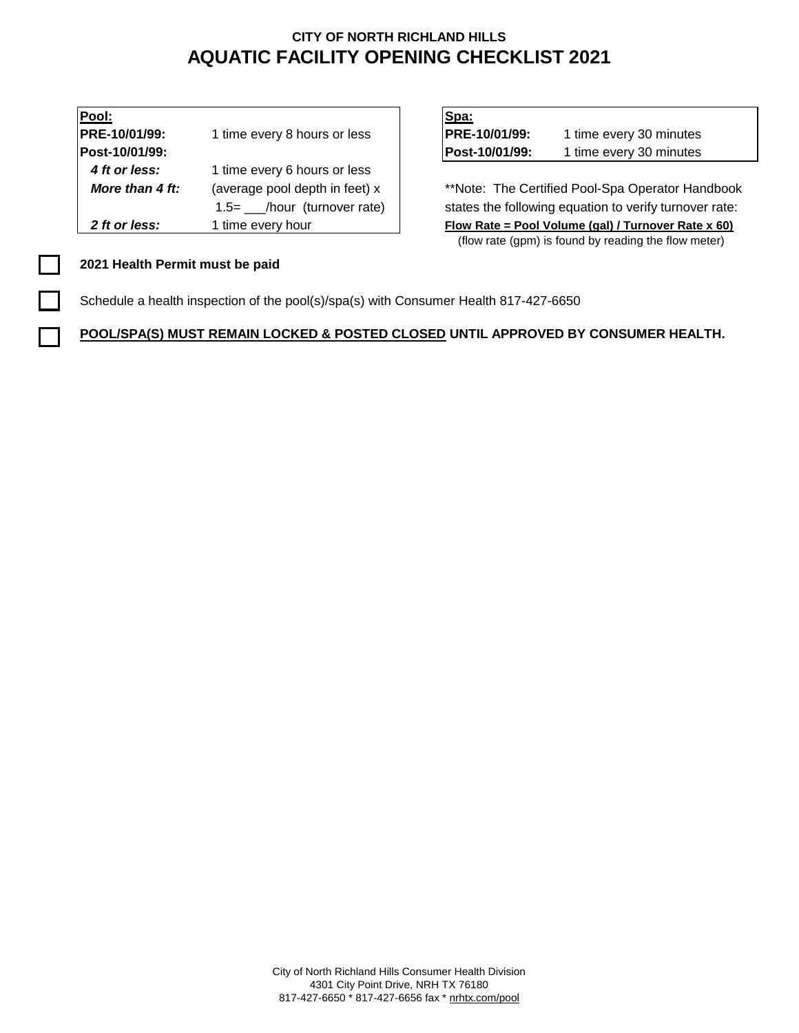| Pool:           |                                | Spa:                                            |                         |  |
|-----------------|--------------------------------|-------------------------------------------------|-------------------------|--|
| PRE-10/01/99:   | 1 time every 8 hours or less   | PRE-10/01/99:                                   | 1 time every 30 minutes |  |
| Post-10/01/99:  |                                | Post-10/01/99:                                  | 1 time every 30 minutes |  |
| 4 ft or less:   | 1 time every 6 hours or less   |                                                 |                         |  |
| More than 4 ft: | (average pool depth in feet) x | **Note: The Certified Pool-Spa Operator Har     |                         |  |
|                 | 1.5= /hour (turnover rate)     | states the following equation to verify turnove |                         |  |
| 2 ft or less:   | 1 time every hour              | Flow Rate = Pool Volume (gal) / Turnover Rate   |                         |  |

| Spa:           |                         |
|----------------|-------------------------|
| PRE-10/01/99:  | 1 time every 30 minutes |
| Post-10/01/99: | 1 time every 30 minutes |

\*\*Note: The Certified Pool-Spa Operator Handbook states the following equation to verify turnover rate: *Flow Rate = Pool Volume (gal) / Turnover Rate x 60)* (flow rate (gpm) is found by reading the flow meter)

### **2021 Health Permit must be paid**

Schedule a health inspection of the pool(s)/spa(s) with Consumer Health 817-427-6650

**POOL/SPA(S) MUST REMAIN LOCKED & POSTED CLOSED UNTIL APPROVED BY CONSUMER HEALTH.**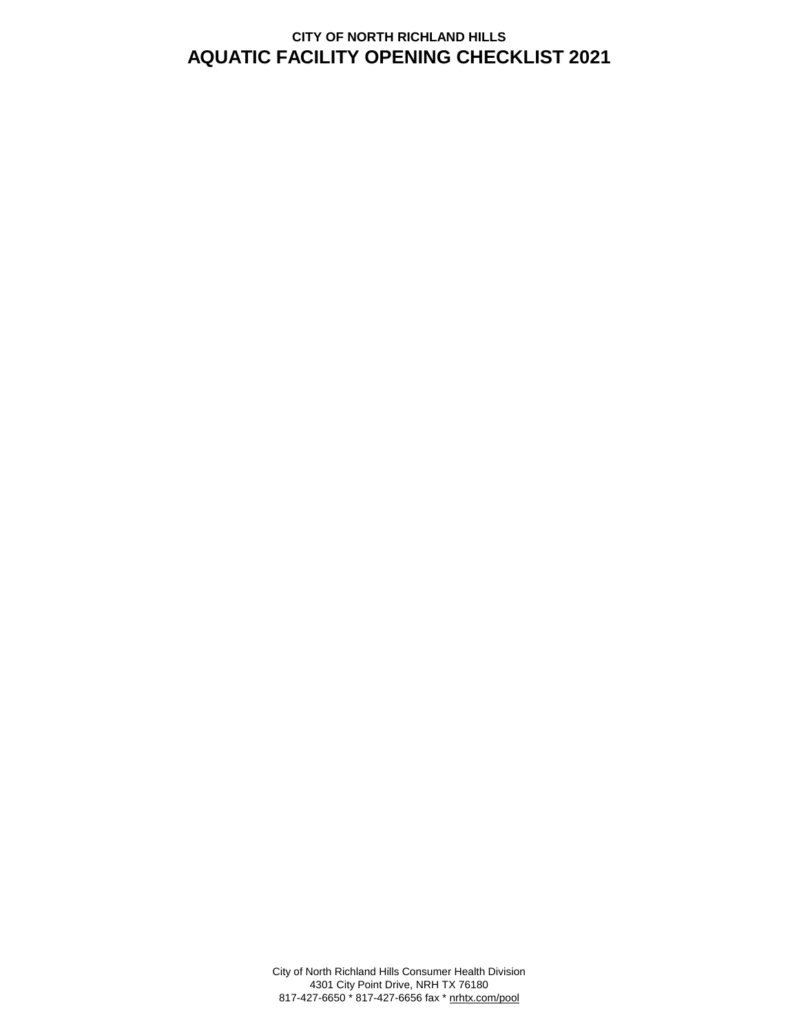City of North Richland Hills Consumer Health Division 4301 City Point Drive, NRH TX 76180 817-427-6650 \* 817-427-6656 fax \* nrhtx.com/pool